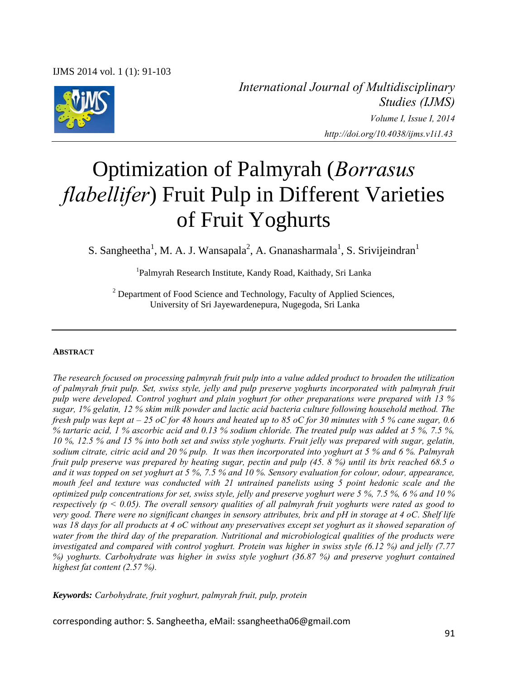

*International Journal of Multidisciplinary Studies (IJMS) Volume I, Issue I, 2014 http://doi.org/10.4038/ijms.v1i1.43* 

# Optimization of Palmyrah (*Borrasus flabellifer*) Fruit Pulp in Different Varieties of Fruit Yoghurts

S. Sangheetha<sup>1</sup>, M. A. J. Wansapala<sup>2</sup>, A. Gnanasharmala<sup>1</sup>, S. Srivijeindran<sup>1</sup>

1 Palmyrah Research Institute, Kandy Road, Kaithady, Sri Lanka

<sup>2</sup> Department of Food Science and Technology, Faculty of Applied Sciences, University of Sri Jayewardenepura, Nugegoda, Sri Lanka

#### **ABSTRACT**

*The research focused on processing palmyrah fruit pulp into a value added product to broaden the utilization of palmyrah fruit pulp. Set, swiss style, jelly and pulp preserve yoghurts incorporated with palmyrah fruit pulp were developed. Control yoghurt and plain yoghurt for other preparations were prepared with 13 % sugar, 1% gelatin, 12 % skim milk powder and lactic acid bacteria culture following household method. The fresh pulp was kept at – 25 oC for 48 hours and heated up to 85 oC for 30 minutes with 5 % cane sugar, 0.6 % tartaric acid, 1 % ascorbic acid and 0.13 % sodium chloride. The treated pulp was added at 5 %, 7.5 %, 10 %, 12.5 % and 15 % into both set and swiss style yoghurts. Fruit jelly was prepared with sugar, gelatin, sodium citrate, citric acid and 20 % pulp. It was then incorporated into yoghurt at 5 % and 6 %. Palmyrah fruit pulp preserve was prepared by heating sugar, pectin and pulp (45. 8 %) until its brix reached 68.5 o and it was topped on set yoghurt at 5 %, 7.5 % and 10 %. Sensory evaluation for colour, odour, appearance, mouth feel and texture was conducted with 21 untrained panelists using 5 point hedonic scale and the optimized pulp concentrations for set, swiss style, jelly and preserve yoghurt were 5 %, 7.5 %, 6 % and 10 % respectively (p < 0.05). The overall sensory qualities of all palmyrah fruit yoghurts were rated as good to very good. There were no significant changes in sensory attributes, brix and pH in storage at 4 oC. Shelf life was 18 days for all products at 4 oC without any preservatives except set yoghurt as it showed separation of water from the third day of the preparation. Nutritional and microbiological qualities of the products were investigated and compared with control yoghurt. Protein was higher in swiss style (6.12 %) and jelly (7.77 %) yoghurts. Carbohydrate was higher in swiss style yoghurt (36.87 %) and preserve yoghurt contained highest fat content (2.57 %).* 

*Keywords: Carbohydrate, fruit yoghurt, palmyrah fruit, pulp, protein* 

corresponding author: S. Sangheetha, eMail: ssangheetha06@gmail.com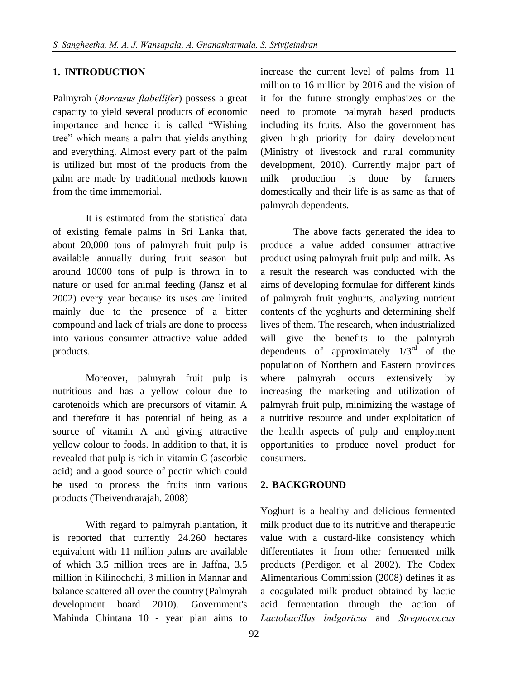## **1. INTRODUCTION**

Palmyrah (*Borrasus flabellifer*) possess a great capacity to yield several products of economic importance and hence it is called "Wishing tree" which means a palm that yields anything and everything. Almost every part of the palm is utilized but most of the products from the palm are made by traditional methods known from the time immemorial.

It is estimated from the statistical data of existing female palms in Sri Lanka that, about 20,000 tons of palmyrah fruit pulp is available annually during fruit season but around 10000 tons of pulp is thrown in to nature or used for animal feeding (Jansz et al 2002) every year because its uses are limited mainly due to the presence of a bitter compound and lack of trials are done to process into various consumer attractive value added products.

Moreover, palmyrah fruit pulp is nutritious and has a yellow colour due to carotenoids which are precursors of vitamin A and therefore it has potential of being as a source of vitamin A and giving attractive yellow colour to foods. In addition to that, it is revealed that pulp is rich in vitamin C (ascorbic acid) and a good source of pectin which could be used to process the fruits into various products (Theivendrarajah, 2008)

With regard to palmyrah plantation, it is reported that currently 24.260 hectares equivalent with 11 million palms are available of which 3.5 million trees are in Jaffna, 3.5 million in Kilinochchi, 3 million in Mannar and balance scattered all over the country (Palmyrah development board 2010). Government's Mahinda Chintana 10 - year plan aims to increase the current level of palms from 11 million to 16 million by 2016 and the vision of it for the future strongly emphasizes on the need to promote palmyrah based products including its fruits. Also the government has given high priority for dairy development (Ministry of livestock and rural community development, 2010). Currently major part of milk production is done by farmers domestically and their life is as same as that of palmyrah dependents.

The above facts generated the idea to produce a value added consumer attractive product using palmyrah fruit pulp and milk. As a result the research was conducted with the aims of developing formulae for different kinds of palmyrah fruit yoghurts, analyzing nutrient contents of the yoghurts and determining shelf lives of them. The research, when industrialized will give the benefits to the palmyrah dependents of approximately  $1/3^{rd}$  of the population of Northern and Eastern provinces where palmyrah occurs extensively by increasing the marketing and utilization of palmyrah fruit pulp, minimizing the wastage of a nutritive resource and under exploitation of the health aspects of pulp and employment opportunities to produce novel product for consumers.

## **2. BACKGROUND**

Yoghurt is a healthy and delicious fermented milk product due to its nutritive and therapeutic value with a custard-like consistency which differentiates it from other fermented milk products (Perdigon et al 2002). The Codex Alimentarious Commission (2008) defines it as a coagulated milk product obtained by lactic acid fermentation through the action of *Lactobacillus bulgaricus* and *Streptococcus*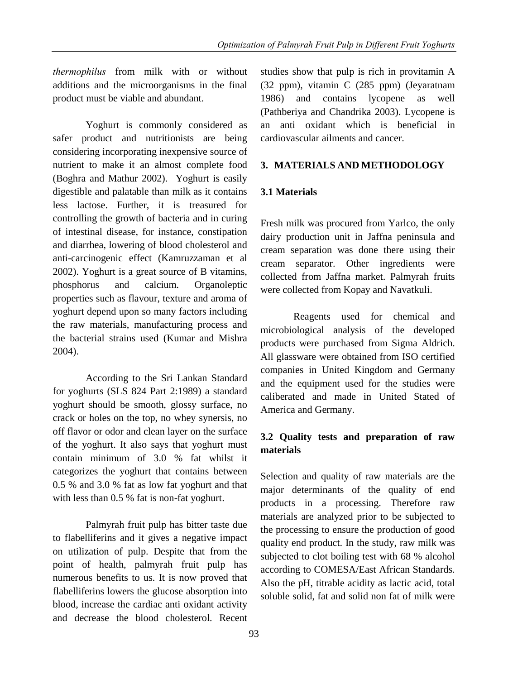*thermophilus* from milk with or without additions and the microorganisms in the final product must be viable and abundant.

Yoghurt is commonly considered as safer product and nutritionists are being considering incorporating inexpensive source of nutrient to make it an almost complete food (Boghra and Mathur 2002). Yoghurt is easily digestible and palatable than milk as it contains less lactose. Further, it is treasured for controlling the growth of bacteria and in curing of intestinal disease, for instance, constipation and diarrhea, lowering of blood cholesterol and anti-carcinogenic effect (Kamruzzaman et al 2002). Yoghurt is a great source of B vitamins, phosphorus and calcium. Organoleptic properties such as flavour, texture and aroma of yoghurt depend upon so many factors including the raw materials, manufacturing process and the bacterial strains used (Kumar and Mishra 2004).

According to the Sri Lankan Standard for yoghurts (SLS 824 Part 2:1989) a standard yoghurt should be smooth, glossy surface, no crack or holes on the top, no whey synersis, no off flavor or odor and clean layer on the surface of the yoghurt. It also says that yoghurt must contain minimum of 3.0 % fat whilst it categorizes the yoghurt that contains between 0.5 % and 3.0 % fat as low fat yoghurt and that with less than 0.5 % fat is non-fat yoghurt.

Palmyrah fruit pulp has bitter taste due to flabelliferins and it gives a negative impact on utilization of pulp. Despite that from the point of health, palmyrah fruit pulp has numerous benefits to us. It is now proved that flabelliferins lowers the glucose absorption into blood, increase the cardiac anti oxidant activity and decrease the blood cholesterol. Recent

studies show that pulp is rich in provitamin A (32 ppm), vitamin C (285 ppm) (Jeyaratnam 1986) and contains lycopene as well (Pathberiya and Chandrika 2003). Lycopene is an anti oxidant which is beneficial in cardiovascular ailments and cancer.

# **3. MATERIALS AND METHODOLOGY**

# **3.1 Materials**

Fresh milk was procured from Yarlco, the only dairy production unit in Jaffna peninsula and cream separation was done there using their cream separator. Other ingredients were collected from Jaffna market. Palmyrah fruits were collected from Kopay and Navatkuli.

Reagents used for chemical and microbiological analysis of the developed products were purchased from Sigma Aldrich. All glassware were obtained from ISO certified companies in United Kingdom and Germany and the equipment used for the studies were caliberated and made in United Stated of America and Germany.

## **3.2 Quality tests and preparation of raw materials**

Selection and quality of raw materials are the major determinants of the quality of end products in a processing. Therefore raw materials are analyzed prior to be subjected to the processing to ensure the production of good quality end product. In the study, raw milk was subjected to clot boiling test with 68 % alcohol according to COMESA/East African Standards. Also the pH, titrable acidity as lactic acid, total soluble solid, fat and solid non fat of milk were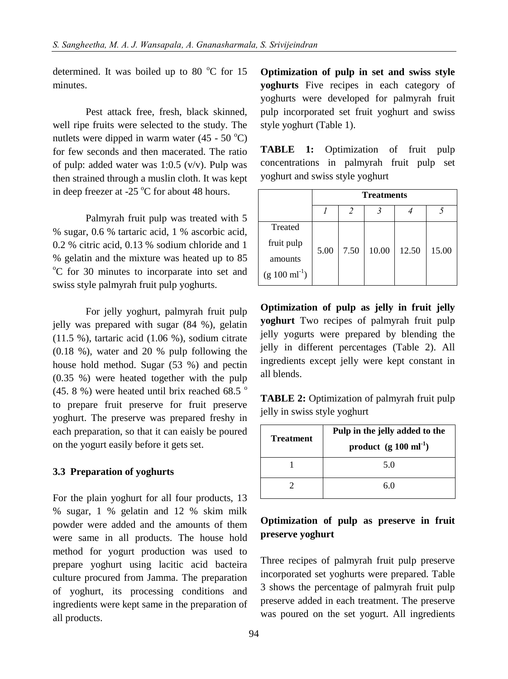determined. It was boiled up to 80  $^{\circ}$ C for 15 minutes.

Pest attack free, fresh, black skinned, well ripe fruits were selected to the study. The nutlets were dipped in warm water  $(45 - 50^{\circ}C)$ for few seconds and then macerated. The ratio of pulp: added water was 1:0.5 (v/v). Pulp was then strained through a muslin cloth. It was kept in deep freezer at -25  $\mathrm{^{\circ}C}$  for about 48 hours.

Palmyrah fruit pulp was treated with 5 % sugar, 0.6 % tartaric acid, 1 % ascorbic acid, 0.2 % citric acid, 0.13 % sodium chloride and 1 % gelatin and the mixture was heated up to 85 <sup>o</sup>C for 30 minutes to incorparate into set and swiss style palmyrah fruit pulp yoghurts.

For jelly yoghurt, palmyrah fruit pulp jelly was prepared with sugar (84 %), gelatin (11.5 %), tartaric acid (1.06 %), sodium citrate (0.18 %), water and 20 % pulp following the house hold method. Sugar (53 %) and pectin (0.35 %) were heated together with the pulp (45. 8 %) were heated until brix reached 68.5  $\degree$ to prepare fruit preserve for fruit preserve yoghurt. The preserve was prepared freshy in each preparation, so that it can eaisly be poured on the yogurt easily before it gets set.

#### **3.3 Preparation of yoghurts**

For the plain yoghurt for all four products, 13 % sugar, 1 % gelatin and 12 % skim milk powder were added and the amounts of them were same in all products. The house hold method for yogurt production was used to prepare yoghurt using lacitic acid bacteira culture procured from Jamma. The preparation of yoghurt, its processing conditions and ingredients were kept same in the preparation of all products.

**Optimization of pulp in set and swiss style yoghurts** Five recipes in each category of yoghurts were developed for palmyrah fruit pulp incorporated set fruit yoghurt and swiss style yoghurt (Table 1).

**TABLE 1:** Optimization of fruit pulp concentrations in palmyrah fruit pulp set yoghurt and swiss style yoghurt

|                           | <b>Treatments</b> |      |       |       |       |
|---------------------------|-------------------|------|-------|-------|-------|
|                           |                   |      |       |       |       |
| Treated                   |                   |      |       |       |       |
| fruit pulp                | 5.00              | 7.50 | 10.00 | 12.50 | 15.00 |
| amounts                   |                   |      |       |       |       |
| $(g 100 \text{ ml}^{-1})$ |                   |      |       |       |       |

**Optimization of pulp as jelly in fruit jelly yoghurt** Two recipes of palmyrah fruit pulp jelly yogurts were prepared by blending the jelly in different percentages (Table 2). All ingredients except jelly were kept constant in all blends.

**TABLE 2:** Optimization of palmyrah fruit pulp jelly in swiss style yoghurt

| <b>Treatment</b> | Pulp in the jelly added to the    |  |  |
|------------------|-----------------------------------|--|--|
|                  | product $(g 100 \text{ ml}^{-1})$ |  |  |
|                  | 5.0                               |  |  |
|                  | 60                                |  |  |

## **Optimization of pulp as preserve in fruit preserve yoghurt**

Three recipes of palmyrah fruit pulp preserve incorporated set yoghurts were prepared. Table 3 shows the percentage of palmyrah fruit pulp preserve added in each treatment. The preserve was poured on the set yogurt. All ingredients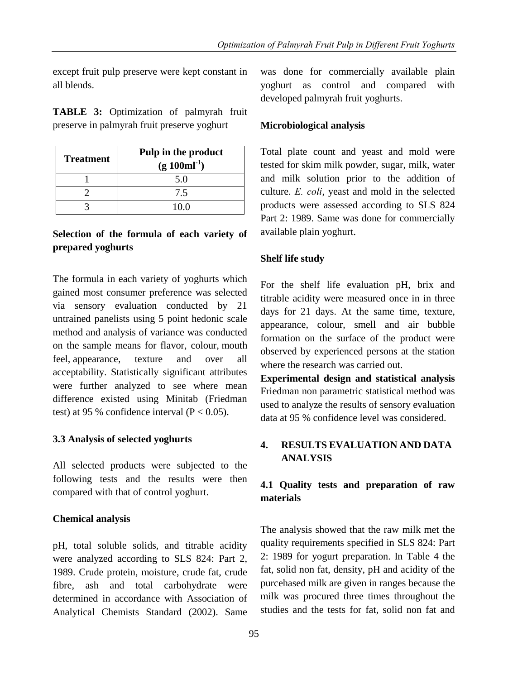except fruit pulp preserve were kept constant in all blends.

**TABLE 3:** Optimization of palmyrah fruit preserve in palmyrah fruit preserve yoghurt

| <b>Treatment</b> | Pulp in the product<br>$(g 100ml^{-1})$ |
|------------------|-----------------------------------------|
|                  | 5.0                                     |
|                  | 7.5                                     |
|                  | 10 O                                    |

## **Selection of the formula of each variety of prepared yoghurts**

The formula in each variety of yoghurts which gained most consumer preference was selected via sensory evaluation conducted by 21 untrained panelists using 5 point hedonic scale method and analysis of variance was conducted on the sample means for flavor, colour, mouth feel, appearance, texture and over all acceptability. Statistically significant attributes were further analyzed to see where mean difference existed using Minitab (Friedman test) at 95 % confidence interval  $(P < 0.05)$ .

## **3.3 Analysis of selected yoghurts**

All selected products were subjected to the following tests and the results were then compared with that of control yoghurt.

## **Chemical analysis**

pH, total soluble solids, and titrable acidity were analyzed according to SLS 824: Part 2, 1989. Crude protein, moisture, crude fat, crude fibre, ash and total carbohydrate were determined in accordance with Association of Analytical Chemists Standard (2002). Same was done for commercially available plain yoghurt as control and compared with developed palmyrah fruit yoghurts.

## **Microbiological analysis**

Total plate count and yeast and mold were tested for skim milk powder, sugar, milk, water and milk solution prior to the addition of culture. *E. coli*, yeast and mold in the selected products were assessed according to SLS 824 Part 2: 1989. Same was done for commercially available plain yoghurt.

# **Shelf life study**

For the shelf life evaluation pH, brix and titrable acidity were measured once in in three days for 21 days. At the same time, texture, appearance, colour, smell and air bubble formation on the surface of the product were observed by experienced persons at the station where the research was carried out.

**Experimental design and statistical analysis**  Friedman non parametric statistical method was used to analyze the results of sensory evaluation data at 95 % confidence level was considered.

# **4. RESULTS EVALUATION AND DATA ANALYSIS**

# **4.1 Quality tests and preparation of raw materials**

The analysis showed that the raw milk met the quality requirements specified in SLS 824: Part 2: 1989 for yogurt preparation. In Table 4 the fat, solid non fat, density, pH and acidity of the purcehased milk are given in ranges because the milk was procured three times throughout the studies and the tests for fat, solid non fat and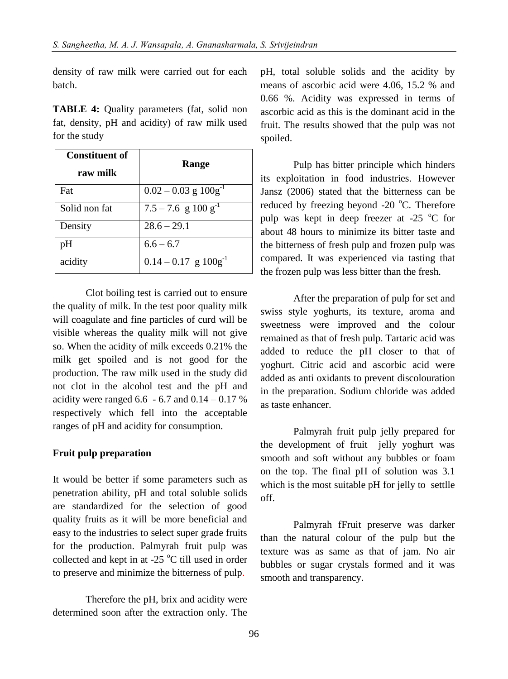density of raw milk were carried out for each batch.

**TABLE 4:** Quality parameters (fat, solid non fat, density, pH and acidity) of raw milk used for the study

| <b>Constituent of</b><br>raw milk | Range                               |  |  |
|-----------------------------------|-------------------------------------|--|--|
| Fat                               | $0.02 - 0.03$ g $100g^{-1}$         |  |  |
| Solid non fat                     | $7.5 - 7.6$ g $100$ g <sup>-1</sup> |  |  |
| Density                           | $28.6 - 29.1$                       |  |  |
| pН                                | $6.6 - 6.7$                         |  |  |
| acidity                           | $0.14 - 0.17$ g $100g^{-1}$         |  |  |

Clot boiling test is carried out to ensure the quality of milk. In the test poor quality milk will coagulate and fine particles of curd will be visible whereas the quality milk will not give so. When the acidity of milk exceeds 0.21% the milk get spoiled and is not good for the production. The raw milk used in the study did not clot in the alcohol test and the pH and acidity were ranged  $6.6 - 6.7$  and  $0.14 - 0.17$  % respectively which fell into the acceptable ranges of pH and acidity for consumption.

#### **Fruit pulp preparation**

It would be better if some parameters such as penetration ability, pH and total soluble solids are standardized for the selection of good quality fruits as it will be more beneficial and easy to the industries to select super grade fruits for the production. Palmyrah fruit pulp was collected and kept in at  $-25$  °C till used in order to preserve and minimize the bitterness of pulp.

Therefore the pH, brix and acidity were determined soon after the extraction only. The pH, total soluble solids and the acidity by means of ascorbic acid were 4.06, 15.2 % and 0.66 %. Acidity was expressed in terms of ascorbic acid as this is the dominant acid in the fruit. The results showed that the pulp was not spoiled.

Pulp has bitter principle which hinders its exploitation in food industries. However Jansz (2006) stated that the bitterness can be reduced by freezing beyond  $-20$  °C. Therefore pulp was kept in deep freezer at  $-25$  °C for about 48 hours to minimize its bitter taste and the bitterness of fresh pulp and frozen pulp was compared. It was experienced via tasting that the frozen pulp was less bitter than the fresh.

After the preparation of pulp for set and swiss style yoghurts, its texture, aroma and sweetness were improved and the colour remained as that of fresh pulp. Tartaric acid was added to reduce the pH closer to that of yoghurt. Citric acid and ascorbic acid were added as anti oxidants to prevent discolouration in the preparation. Sodium chloride was added as taste enhancer.

Palmyrah fruit pulp jelly prepared for the development of fruit jelly yoghurt was smooth and soft without any bubbles or foam on the top. The final pH of solution was 3.1 which is the most suitable pH for jelly to settlle off.

Palmyrah fFruit preserve was darker than the natural colour of the pulp but the texture was as same as that of jam. No air bubbles or sugar crystals formed and it was smooth and transparency.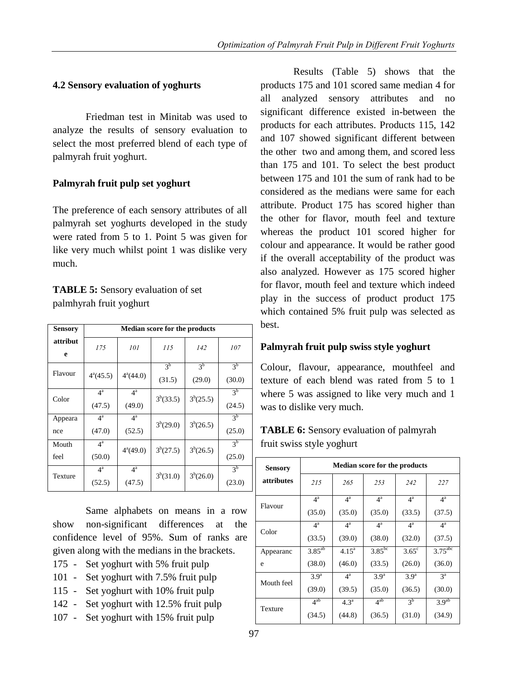### **4.2 Sensory evaluation of yoghurts**

Friedman test in Minitab was used to analyze the results of sensory evaluation to select the most preferred blend of each type of palmyrah fruit yoghurt.

## **Palmyrah fruit pulp set yoghurt**

The preference of each sensory attributes of all palmyrah set yoghurts developed in the study were rated from 5 to 1. Point 5 was given for like very much whilst point 1 was dislike very much.

## **TABLE 5:** Sensory evaluation of set palmhyrah fruit yoghurt

| <b>Sensory</b> | <b>Median score for the products</b> |                            |                          |                          |                          |  |
|----------------|--------------------------------------|----------------------------|--------------------------|--------------------------|--------------------------|--|
| attribut<br>e  | 175                                  | 101                        | 115                      | 142                      | 107                      |  |
| Flavour        | $4^a(45.5)$                          | $4^a(44.0)$                | 3 <sup>b</sup><br>(31.5) | 3 <sup>b</sup><br>(29.0) | 3 <sup>b</sup><br>(30.0) |  |
| Color          | $4^{\mathrm{a}}$<br>(47.5)           | $4^{\mathrm{a}}$<br>(49.0) | $3^{b}(33.5)$            | $3^{b}(25.5)$            | 3 <sup>b</sup><br>(24.5) |  |
| Appeara<br>nce | $4^{\mathrm{a}}$<br>(47.0)           | $4^{\mathrm{a}}$<br>(52.5) | $3^{b}(29.0)$            | $3^{b}(26.5)$            | 3 <sup>b</sup><br>(25.0) |  |
| Mouth<br>feel  | $4^{\rm a}$<br>(50.0)                | $4^a(49.0)$                | $3^{b}(27.5)$            | $3^{b}(26.5)$            | 3 <sup>b</sup><br>(25.0) |  |
| Texture        | $4^{\mathrm{a}}$<br>(52.5)           | $4^{\mathrm{a}}$<br>(47.5) | 3 <sup>b</sup> (31.0)    | $3^{b}(26.0)$            | 3 <sup>b</sup><br>(23.0) |  |

Same alphabets on means in a row show non-significant differences at the confidence level of 95%. Sum of ranks are given along with the medians in the brackets.

- 175 Set yoghurt with 5% fruit pulp
- 101 Set yoghurt with 7.5% fruit pulp
- 115 Set yoghurt with 10% fruit pulp
- 142 Set yoghurt with 12.5% fruit pulp
- 107 Set yoghurt with 15% fruit pulp

Results (Table 5) shows that the products 175 and 101 scored same median 4 for all analyzed sensory attributes and no significant difference existed in-between the products for each attributes. Products 115, 142 and 107 showed significant different between the other two and among them, and scored less than 175 and 101. To select the best product between 175 and 101 the sum of rank had to be considered as the medians were same for each attribute. Product 175 has scored higher than the other for flavor, mouth feel and texture whereas the product 101 scored higher for colour and appearance. It would be rather good if the overall acceptability of the product was also analyzed. However as 175 scored higher for flavor, mouth feel and texture which indeed play in the success of product product 175 which contained 5% fruit pulp was selected as best.

# **Palmyrah fruit pulp swiss style yoghurt**

Colour, flavour, appearance, mouthfeel and texture of each blend was rated from 5 to 1 where 5 was assigned to like very much and 1 was to dislike very much.

# **TABLE 6:** Sensory evaluation of palmyrah fruit swiss style yoghurt

| <b>Sensory</b> | <b>Median score for the products</b> |                  |                  |                  |                       |  |
|----------------|--------------------------------------|------------------|------------------|------------------|-----------------------|--|
| attributes     | 215                                  | 265              | 253              | 242              | 227                   |  |
| Flavour        | $4^{\mathrm{a}}$                     | $4^{\rm a}$      | $4^{\mathrm{a}}$ | $4^{\mathrm{a}}$ | $4^{\mathrm{a}}$      |  |
|                | (35.0)                               | (35.0)           | (35.0)           | (33.5)           | (37.5)                |  |
| Color          | $4^{\mathrm{a}}$                     | $4^{\mathrm{a}}$ | $4^{\mathrm{a}}$ | $4^{\mathrm{a}}$ | $4^{\mathrm{a}}$      |  |
|                | (33.5)                               | (39.0)           | (38.0)           | (32.0)           | (37.5)                |  |
| Appearanc      | $3.85^{ab}$                          | $4.15^{\circ}$   | $3.85^{bc}$      | $3.65^{\circ}$   | $3.75$ <sup>abc</sup> |  |
| e              | (38.0)                               | (46.0)           | (33.5)           | (26.0)           | (36.0)                |  |
| Mouth feel     | 3.9 <sup>a</sup>                     | $4^{\rm a}$      | 3.9 <sup>a</sup> | 3.9 <sup>a</sup> | $3^a$                 |  |
|                | (39.0)                               | (39.5)           | (35.0)           | (36.5)           | (30.0)                |  |
| Texture        | $4^{ab}$                             | 4.3 <sup>a</sup> | $4^{ab}$         | 3 <sup>b</sup>   | 3.9 <sup>ab</sup>     |  |
|                | (34.5)                               | (44.8)           | (36.5)           | (31.0)           | (34.9)                |  |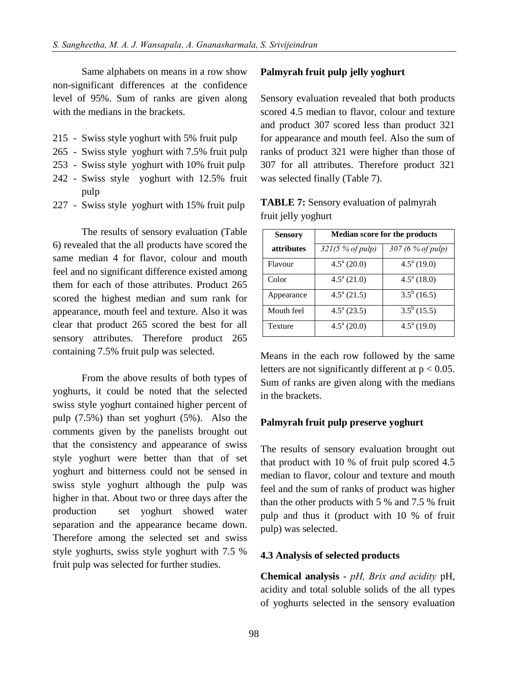Same alphabets on means in a row show non-significant differences at the confidence level of 95%. Sum of ranks are given along with the medians in the brackets.

- 215 Swiss style yoghurt with 5% fruit pulp
- 265 Swiss style yoghurt with 7.5% fruit pulp
- 253 Swiss style yoghurt with 10% fruit pulp
- 242 Swiss style yoghurt with 12.5% fruit pulp
- 227 Swiss style yoghurt with 15% fruit pulp

The results of sensory evaluation (Table 6) revealed that the all products have scored the same median 4 for flavor, colour and mouth feel and no significant difference existed among them for each of those attributes. Product 265 scored the highest median and sum rank for appearance, mouth feel and texture. Also it was clear that product 265 scored the best for all sensory attributes. Therefore product 265 containing 7.5% fruit pulp was selected.

From the above results of both types of yoghurts, it could be noted that the selected swiss style yoghurt contained higher percent of pulp (7.5%) than set yoghurt (5%). Also the comments given by the panelists brought out that the consistency and appearance of swiss style yoghurt were better than that of set yoghurt and bitterness could not be sensed in swiss style yoghurt although the pulp was higher in that. About two or three days after the production set yoghurt showed water separation and the appearance became down. Therefore among the selected set and swiss style yoghurts, swiss style yoghurt with 7.5 % fruit pulp was selected for further studies.

#### **Palmyrah fruit pulp jelly yoghurt**

Sensory evaluation revealed that both products scored 4.5 median to flavor, colour and texture and product 307 scored less than product 321 for appearance and mouth feel. Also the sum of ranks of product 321 were higher than those of 307 for all attributes. Therefore product 321 was selected finally (Table 7).

| Sensory    | <b>Median score for the products</b> |                                 |  |  |
|------------|--------------------------------------|---------------------------------|--|--|
| attributes | 321(5 % of pulp)                     | 307 (6 % of pulp)               |  |  |
| Flavour    | $4.5^{\mathrm{a}}$ (20.0)            | $4.5^{\text{a}}$ (19.0)         |  |  |
| Color      | $4.5^{\mathrm{a}}$ (21.0)            | $4.5^{\text{a}}(18.0)$          |  |  |
| Appearance | $4.5^{\mathrm{a}}(21.5)$             | $\overline{3.5}^{\rm b}$ (16.5) |  |  |
| Mouth feel | $4.5^{\mathrm{a}}$ (23.5)            | $\overline{3.5}^{\rm b}$ (15.5) |  |  |
| Texture    | $4.5^{\mathrm{a}}$ (20.0)            | $4.5^a(19.0)$                   |  |  |

**TABLE 7:** Sensory evaluation of palmyrah fruit jelly yoghurt

Means in the each row followed by the same letters are not significantly different at  $p < 0.05$ . Sum of ranks are given along with the medians in the brackets.

#### **Palmyrah fruit pulp preserve yoghurt**

The results of sensory evaluation brought out that product with 10 % of fruit pulp scored 4.5 median to flavor, colour and texture and mouth feel and the sum of ranks of product was higher than the other products with 5 % and 7.5 % fruit pulp and thus it (product with 10 % of fruit pulp) was selected.

#### **4.3 Analysis of selected products**

**Chemical analysis -** *pH, Brix and acidity* pH, acidity and total soluble solids of the all types of yoghurts selected in the sensory evaluation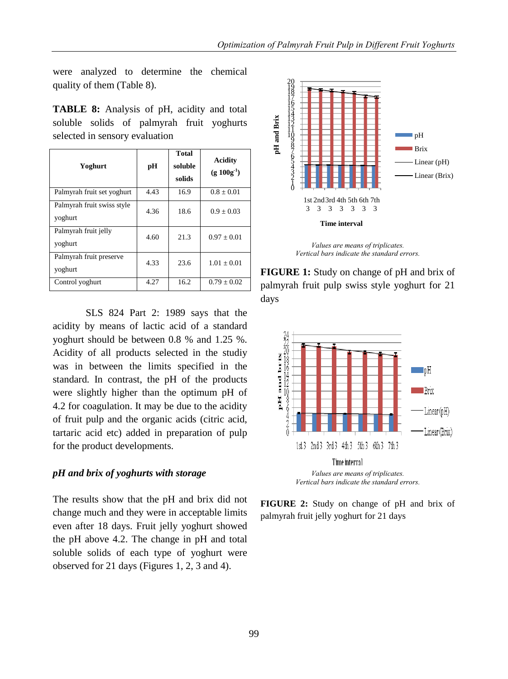were analyzed to determine the chemical quality of them (Table 8).

**TABLE 8:** Analysis of pH, acidity and total soluble solids of palmyrah fruit yoghurts selected in sensory evaluation

| Yoghurt                               | рH   | Total<br>soluble<br>solids | <b>Acidity</b><br>$(g 100g^{-1})$ |
|---------------------------------------|------|----------------------------|-----------------------------------|
| Palmyrah fruit set yoghurt            | 4.43 | 16.9                       | $0.8 \pm 0.01$                    |
| Palmyrah fruit swiss style<br>yoghurt | 4.36 | 18.6                       | $0.9 + 0.03$                      |
| Palmyrah fruit jelly<br>yoghurt       | 4.60 | 21.3                       | $0.97 + 0.01$                     |
| Palmyrah fruit preserve<br>yoghurt    | 4.33 | 23.6                       | $1.01 + 0.01$                     |
| Control yoghurt                       | 4.27 | 16.2                       | $0.79 \pm 0.02$                   |

SLS 824 Part 2: 1989 says that the acidity by means of lactic acid of a standard yoghurt should be between 0.8 % and 1.25 %. Acidity of all products selected in the studiy was in between the limits specified in the standard. In contrast, the pH of the products were slightly higher than the optimum pH of 4.2 for coagulation. It may be due to the acidity of fruit pulp and the organic acids (citric acid, tartaric acid etc) added in preparation of pulp for the product developments.

#### *pH and brix of yoghurts with storage*

The results show that the pH and brix did not change much and they were in acceptable limits even after 18 days. Fruit jelly yoghurt showed the pH above 4.2. The change in pH and total soluble solids of each type of yoghurt were observed for 21 days (Figures 1, 2, 3 and 4).



*Values are means of triplicates. Vertical bars indicate the standard errors.* 

**FIGURE 1:** Study on change of pH and brix of palmyrah fruit pulp swiss style yoghurt for 21 days





**FIGURE 2:** Study on change of pH and brix of palmyrah fruit jelly yoghurt for 21 days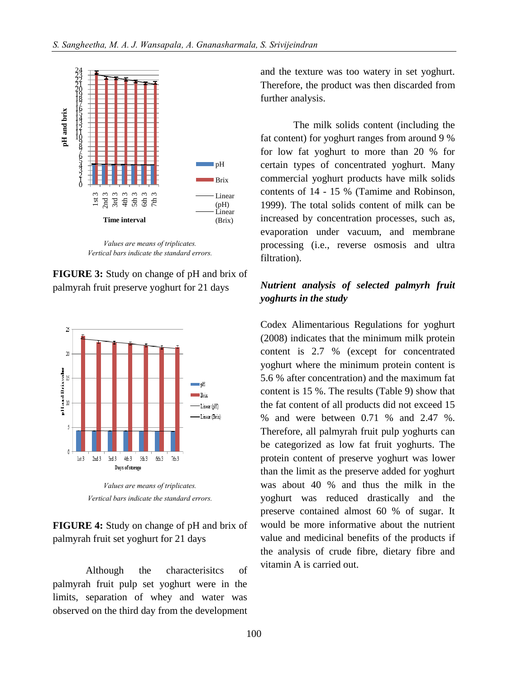

*Values are means of triplicates. Vertical bars indicate the standard errors.* 

**FIGURE 3:** Study on change of pH and brix of palmyrah fruit preserve yoghurt for 21 days



*Values are means of triplicates. Vertical bars indicate the standard errors.* 

**FIGURE 4:** Study on change of pH and brix of palmyrah fruit set yoghurt for 21 days

Although the characterisitcs of palmyrah fruit pulp set yoghurt were in the limits, separation of whey and water was observed on the third day from the development and the texture was too watery in set yoghurt. Therefore, the product was then discarded from further analysis.

The milk solids content (including the fat content) for yoghurt ranges from around 9 % for low fat yoghurt to more than 20 % for certain types of concentrated yoghurt. Many commercial yoghurt products have milk solids contents of 14 - 15 % (Tamime and Robinson, 1999). The total solids content of milk can be increased by concentration processes, such as, evaporation under vacuum, and membrane processing (i.e., reverse osmosis and ultra filtration).

## *Nutrient analysis of selected palmyrh fruit yoghurts in the study*

Codex Alimentarious Regulations for yoghurt (2008) indicates that the minimum milk protein content is 2.7 % (except for concentrated yoghurt where the minimum protein content is 5.6 % after concentration) and the maximum fat content is 15 %. The results (Table 9) show that the fat content of all products did not exceed 15 % and were between 0.71 % and 2.47 %. Therefore, all palmyrah fruit pulp yoghurts can be categorized as low fat fruit yoghurts. The protein content of preserve yoghurt was lower than the limit as the preserve added for yoghurt was about 40 % and thus the milk in the yoghurt was reduced drastically and the preserve contained almost 60 % of sugar. It would be more informative about the nutrient value and medicinal benefits of the products if the analysis of crude fibre, dietary fibre and vitamin A is carried out.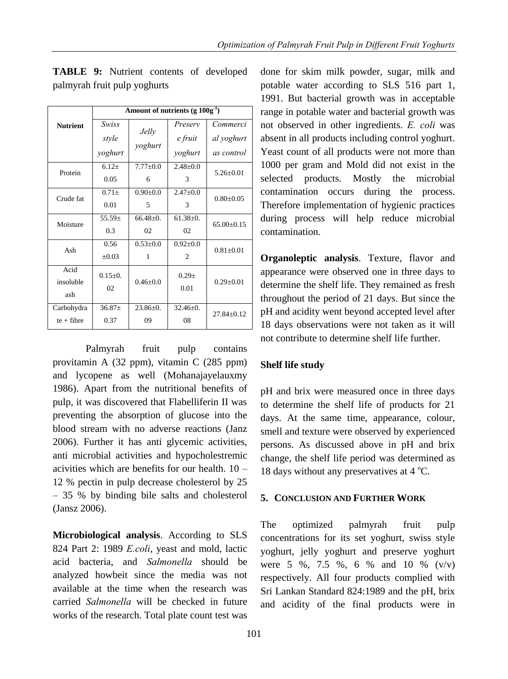|                 | Amount of nutrients (g $100g^{-1}$ ) |                |                |                  |  |
|-----------------|--------------------------------------|----------------|----------------|------------------|--|
| <b>Nutrient</b> | Swiss                                |                | Preserv        | Commerci         |  |
|                 | style                                | <b>Jelly</b>   | e fruit        | al yoghurt       |  |
|                 | yoghurt                              | yoghurt        | yoghurt        | as control       |  |
| Protein         | $6.12+$                              | $7.77 \pm 0.0$ | $2.48 \pm 0.0$ | $5.26 \pm 0.01$  |  |
|                 | 0.05                                 | 6              | 3              |                  |  |
| Crude fat       | $0.71 \pm$                           | $0.90 + 0.0$   | $2.47 \pm 0.0$ | $0.80 \pm 0.05$  |  |
|                 | 0.01                                 | 5              | 3              |                  |  |
| Moisture        | $55.59+$                             | $66.48 \pm 0.$ | $61.38 \pm 0.$ | $65.00 \pm 0.15$ |  |
|                 | 0.3                                  | 02             | 02             |                  |  |
| Ash             | 0.56                                 | $0.53 \pm 0.0$ | $0.92 \pm 0.0$ | $0.81 \pm 0.01$  |  |
|                 | $\pm 0.03$                           | 1              | $\overline{c}$ |                  |  |
| Acid            | $0.15 \pm 0.$                        |                | $0.29 +$       |                  |  |
| insoluble       | 02                                   | $0.46 \pm 0.0$ | 0.01           | $0.29 \pm 0.01$  |  |
| ash             |                                      |                |                |                  |  |
| Carbohydra      | $36.87 \pm$                          | $23.86 \pm 0.$ | $32.46 \pm 0.$ | $27.84 \pm 0.12$ |  |
| $te + fibre$    | 0.37                                 | 09             | 08             |                  |  |

**TABLE 9:** Nutrient contents of developed palmyrah fruit pulp yoghurts

Palmyrah fruit pulp contains provitamin A (32 ppm), vitamin C (285 ppm) and lycopene as well (Mohanajayelauxmy 1986). Apart from the nutritional benefits of pulp, it was discovered that Flabelliferin II was preventing the absorption of glucose into the blood stream with no adverse reactions (Janz 2006). Further it has anti glycemic activities, anti microbial activities and hypocholestremic acivities which are benefits for our health. 10 – 12 % pectin in pulp decrease cholesterol by 25 – 35 % by binding bile salts and cholesterol (Jansz 2006).

**Microbiological analysis**. According to SLS 824 Part 2: 1989 *E.coli*, yeast and mold, lactic acid bacteria, and *Salmonella* should be analyzed howbeit since the media was not available at the time when the research was carried *Salmonella* will be checked in future works of the research. Total plate count test was

done for skim milk powder, sugar, milk and potable water according to SLS 516 part 1, 1991. But bacterial growth was in acceptable range in potable water and bacterial growth was not observed in other ingredients. *E. coli* was absent in all products including control yoghurt. Yeast count of all products were not more than 1000 per gram and Mold did not exist in the selected products. Mostly the microbial contamination occurs during the process. Therefore implementation of hygienic practices during process will help reduce microbial contamination.

**Organoleptic analysis**. Texture, flavor and appearance were observed one in three days to determine the shelf life. They remained as fresh throughout the period of 21 days. But since the pH and acidity went beyond accepted level after 18 days observations were not taken as it will not contribute to determine shelf life further.

## **Shelf life study**

pH and brix were measured once in three days to determine the shelf life of products for 21 days. At the same time, appearance, colour, smell and texture were observed by experienced persons. As discussed above in pH and brix change, the shelf life period was determined as 18 days without any preservatives at  $4^{\circ}$ C.

#### **5. CONCLUSION AND FURTHER WORK**

The optimized palmyrah fruit pulp concentrations for its set yoghurt, swiss style yoghurt, jelly yoghurt and preserve yoghurt were 5 %, 7.5 %, 6 % and 10 % (v/v) respectively. All four products complied with Sri Lankan Standard 824:1989 and the pH, brix and acidity of the final products were in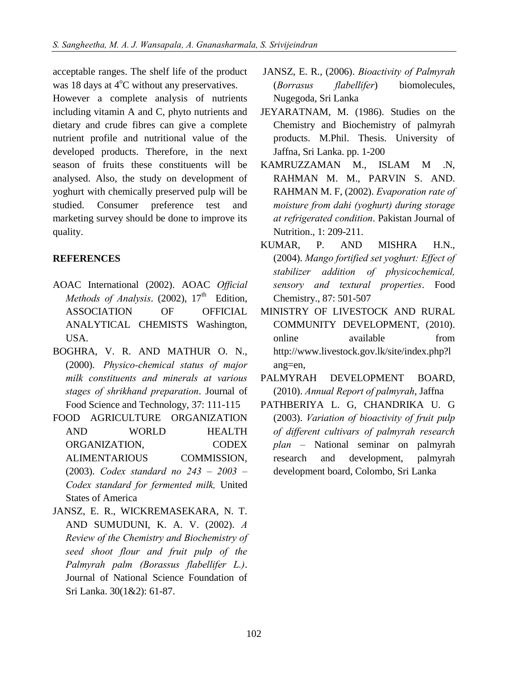acceptable ranges. The shelf life of the product was 18 days at  $4^{\circ}$ C without any preservatives.

However a complete analysis of nutrients including vitamin A and C, phyto nutrients and dietary and crude fibres can give a complete nutrient profile and nutritional value of the developed products. Therefore, in the next season of fruits these constituents will be analysed. Also, the study on development of yoghurt with chemically preserved pulp will be studied. Consumer preference test and marketing survey should be done to improve its quality.

## **REFERENCES**

- AOAC International (2002). AOAC *Official*  Methods of Analysis. (2002), 17<sup>th</sup> Edition, ASSOCIATION OF OFFICIAL ANALYTICAL CHEMISTS Washington, **USA**
- BOGHRA, V. R. AND MATHUR O. N., (2000). *Physico-chemical status of major milk constituents and minerals at various stages of shrikhand preparation*. Journal of Food Science and Technology, 37: 111-115
- FOOD AGRICULTURE ORGANIZATION AND WORLD HEALTH ORGANIZATION, CODEX ALIMENTARIOUS COMMISSION, (2003). *Codex standard no 243 – 2003 – Codex standard for fermented milk,* United States of America
- JANSZ, E. R., WICKREMASEKARA, N. T. AND SUMUDUNI, K. A. V. (2002). *A Review of the Chemistry and Biochemistry of seed shoot flour and fruit pulp of the Palmyrah palm (Borassus flabellifer L.)*. Journal of National Science Foundation of Sri Lanka. 30(1&2): 61-87.
- JANSZ, E. R., (2006). *Bioactivity of Palmyrah* (*Borrasus flabellifer*) biomolecules, Nugegoda, Sri Lanka
- JEYARATNAM, M. (1986). Studies on the Chemistry and Biochemistry of palmyrah products. M.Phil. Thesis. University of Jaffna, Sri Lanka. pp. 1-200
- KAMRUZZAMAN M., ISLAM M .N, RAHMAN M. M., PARVIN S. AND. RAHMAN M. F, (2002). *Evaporation rate of moisture from dahi (yoghurt) during storage at refrigerated condition*. Pakistan Journal of Nutrition., 1: 209-211.
- KUMAR, P. AND MISHRA H.N., (2004). *Mango fortified set yoghurt: Effect of stabilizer addition of physicochemical, sensory and textural properties*. Food Chemistry., 87: 501-507
- MINISTRY OF LIVESTOCK AND RURAL COMMUNITY DEVELOPMENT, (2010). online available from [http://www.livestock.gov.lk/site/index.php?l](http://www.livestock.gov.lk/site/index.php?lang=en) [ang=en,](http://www.livestock.gov.lk/site/index.php?lang=en)
- PALMYRAH DEVELOPMENT BOARD, (2010). *Annual Report of palmyrah*, Jaffna
- PATHBERIYA L. G, CHANDRIKA U. G (2003). *Variation of bioactivity of fruit pulp of different cultivars of palmyrah research plan* – National seminar on palmyrah research and development, palmyrah development board, Colombo, Sri Lanka